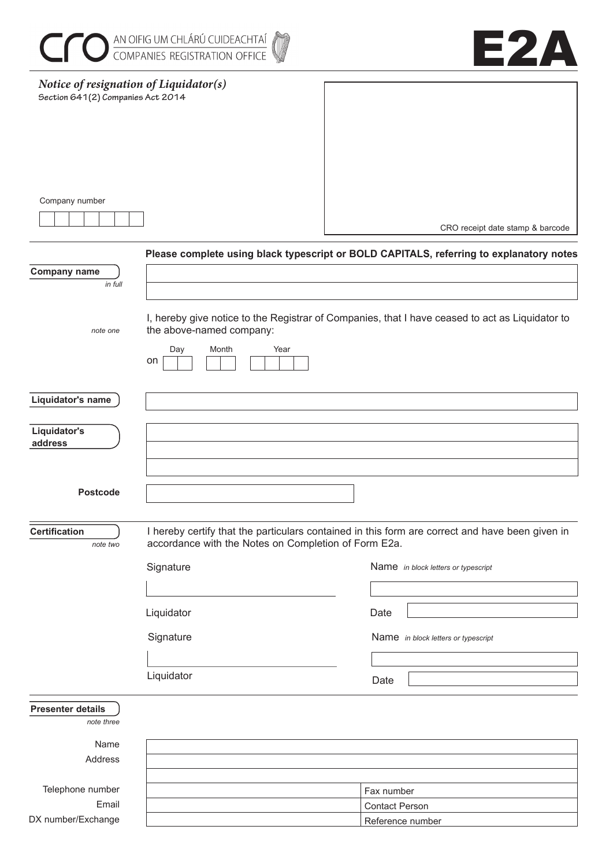|                                                                             | <b>COMPANIES REGISTRATION OFFICE</b>                              | E2A                                                                                                                                    |
|-----------------------------------------------------------------------------|-------------------------------------------------------------------|----------------------------------------------------------------------------------------------------------------------------------------|
| Notice of resignation of Liquidator(s)<br>Section 641(2) Companies Act 2014 |                                                                   |                                                                                                                                        |
| Company number                                                              |                                                                   | CRO receipt date stamp & barcode                                                                                                       |
|                                                                             |                                                                   | Please complete using black typescript or BOLD CAPITALS, referring to explanatory notes                                                |
| <b>Company name</b><br>in full                                              |                                                                   |                                                                                                                                        |
| note one                                                                    | the above-named company:<br>Day<br>Month<br>Year<br>on            | I, hereby give notice to the Registrar of Companies, that I have ceased to act as Liquidator to                                        |
| Liquidator's name                                                           |                                                                   |                                                                                                                                        |
| Liquidator's<br>address                                                     |                                                                   |                                                                                                                                        |
| <b>Postcode</b>                                                             |                                                                   |                                                                                                                                        |
| <b>Certification</b><br>note two                                            | accordance with the Notes on Completion of Form E2a.<br>Signature | I hereby certify that the particulars contained in this form are correct and have been given in<br>Name in block letters or typescript |
|                                                                             | Liquidator                                                        | Date                                                                                                                                   |
|                                                                             | Signature                                                         | Name in block letters or typescript                                                                                                    |
|                                                                             | Liquidator                                                        | Date                                                                                                                                   |
| <b>Presenter details</b><br>note three                                      |                                                                   |                                                                                                                                        |
| Name                                                                        |                                                                   |                                                                                                                                        |
| Address                                                                     |                                                                   |                                                                                                                                        |
| Telephone number                                                            |                                                                   | Fax number                                                                                                                             |
| Email                                                                       |                                                                   | <b>Contact Person</b>                                                                                                                  |
| DX number/Exchange                                                          |                                                                   | Reference number                                                                                                                       |